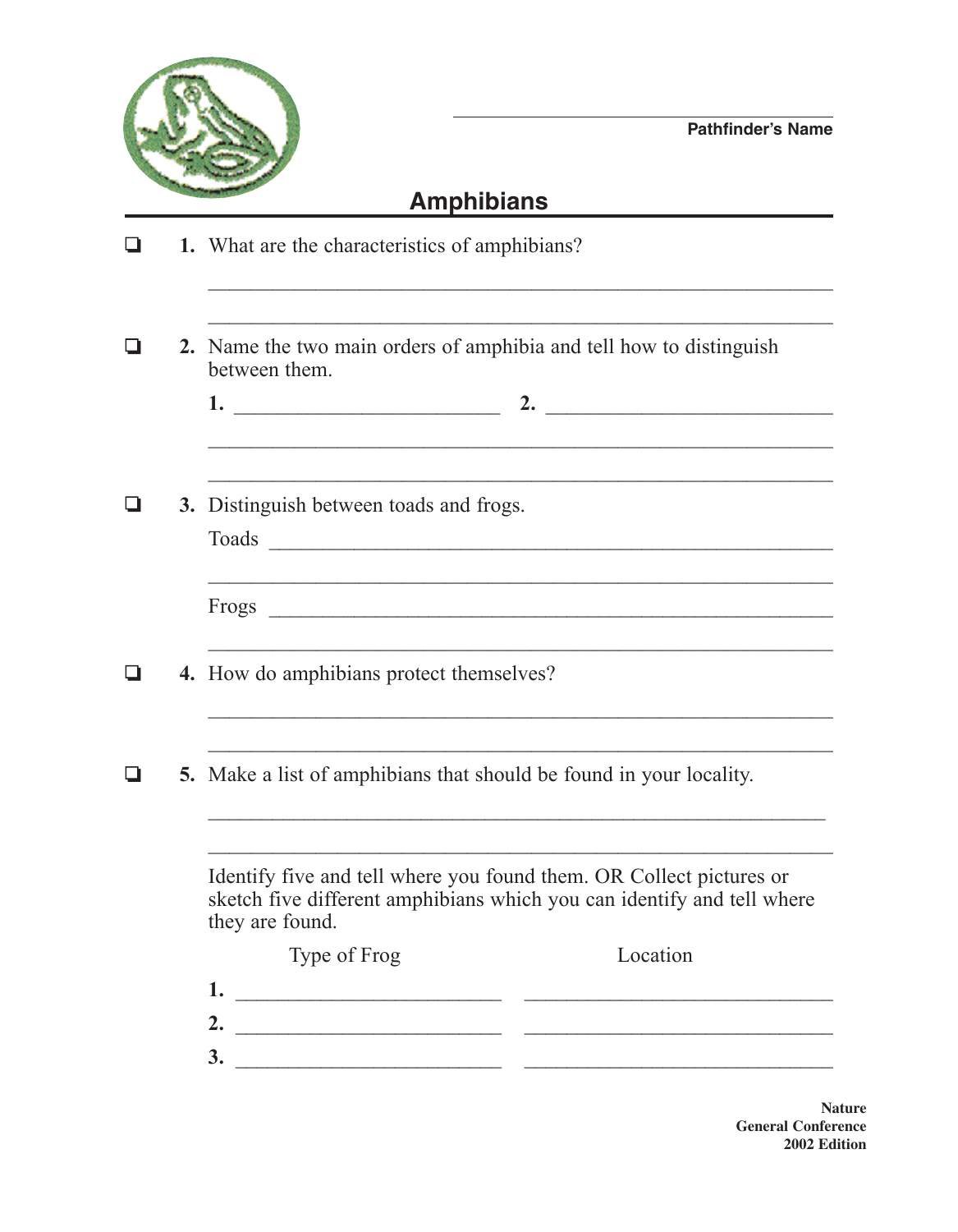

## **Amphibians**

|  | 1. What are the characteristics of amphibians?                                                                                                                                                                                             |  |  |  |
|--|--------------------------------------------------------------------------------------------------------------------------------------------------------------------------------------------------------------------------------------------|--|--|--|
|  |                                                                                                                                                                                                                                            |  |  |  |
|  | 2. Name the two main orders of amphibia and tell how to distinguish<br>between them.                                                                                                                                                       |  |  |  |
|  |                                                                                                                                                                                                                                            |  |  |  |
|  |                                                                                                                                                                                                                                            |  |  |  |
|  | 3. Distinguish between toads and frogs.<br>Toads                                                                                                                                                                                           |  |  |  |
|  |                                                                                                                                                                                                                                            |  |  |  |
|  | 4. How do amphibians protect themselves?                                                                                                                                                                                                   |  |  |  |
|  |                                                                                                                                                                                                                                            |  |  |  |
|  | <b>5.</b> Make a list of amphibians that should be found in your locality.                                                                                                                                                                 |  |  |  |
|  |                                                                                                                                                                                                                                            |  |  |  |
|  | Identify five and tell where you found them. OR Collect pictures or<br>sketch five different amphibians which you can identify and tell where<br>they are found.                                                                           |  |  |  |
|  | Type of Frog<br>Location                                                                                                                                                                                                                   |  |  |  |
|  | 1.                                                                                                                                                                                                                                         |  |  |  |
|  | 2.<br><u> 2000 - Jan James James James James James James James James James James James James James James James James James James James James James James James James James James James James James James James James James James James</u> |  |  |  |
|  | 3.                                                                                                                                                                                                                                         |  |  |  |

**Nature General Conference 2002 Edition**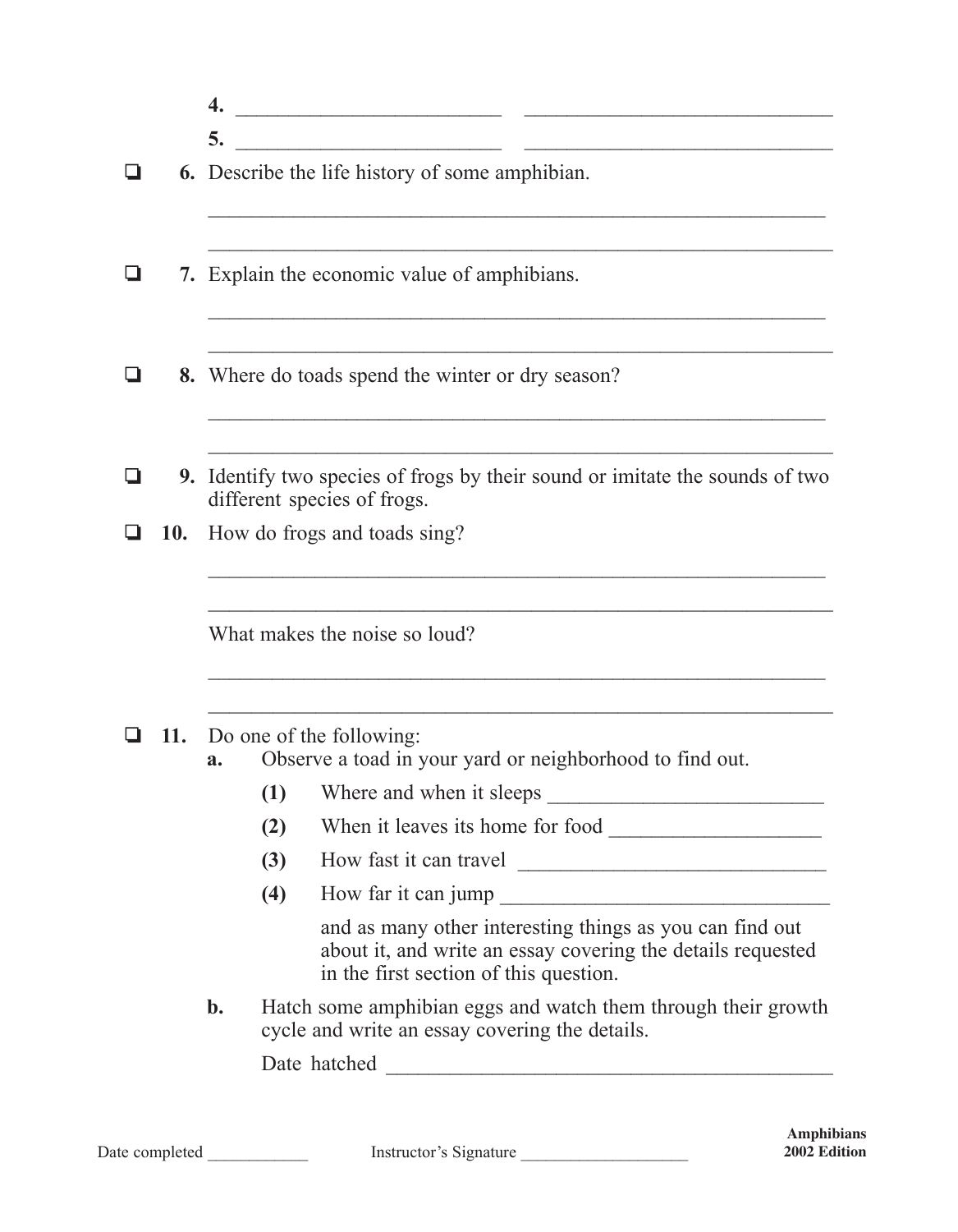|                                       |  | 4.                                                                                                                 |     |                                                                                                                                                                   |  |
|---------------------------------------|--|--------------------------------------------------------------------------------------------------------------------|-----|-------------------------------------------------------------------------------------------------------------------------------------------------------------------|--|
|                                       |  | 5.                                                                                                                 |     |                                                                                                                                                                   |  |
|                                       |  | <b>6.</b> Describe the life history of some amphibian.                                                             |     |                                                                                                                                                                   |  |
|                                       |  | 7. Explain the economic value of amphibians.                                                                       |     |                                                                                                                                                                   |  |
|                                       |  | 8. Where do toads spend the winter or dry season?                                                                  |     |                                                                                                                                                                   |  |
|                                       |  | <b>9.</b> Identify two species of frogs by their sound or imitate the sounds of two<br>different species of frogs. |     |                                                                                                                                                                   |  |
| How do frogs and toads sing?<br>10.   |  |                                                                                                                    |     |                                                                                                                                                                   |  |
|                                       |  |                                                                                                                    |     | What makes the noise so loud?                                                                                                                                     |  |
| Do one of the following:<br>11.<br>a. |  |                                                                                                                    |     | Observe a toad in your yard or neighborhood to find out.                                                                                                          |  |
|                                       |  |                                                                                                                    | (1) |                                                                                                                                                                   |  |
|                                       |  |                                                                                                                    | (2) |                                                                                                                                                                   |  |
|                                       |  |                                                                                                                    | (3) | How fast it can travel                                                                                                                                            |  |
|                                       |  |                                                                                                                    | (4) |                                                                                                                                                                   |  |
|                                       |  |                                                                                                                    |     | and as many other interesting things as you can find out<br>about it, and write an essay covering the details requested<br>in the first section of this question. |  |
|                                       |  | b.                                                                                                                 |     | Hatch some amphibian eggs and watch them through their growth<br>cycle and write an essay covering the details.                                                   |  |
|                                       |  |                                                                                                                    |     |                                                                                                                                                                   |  |